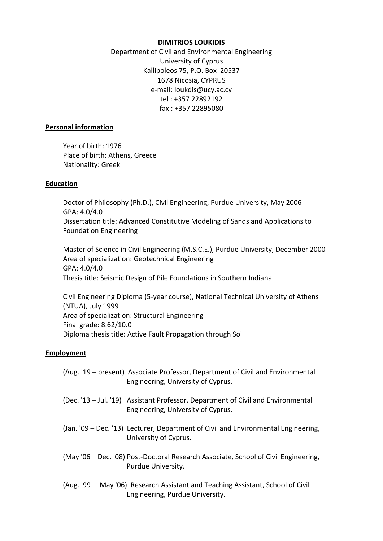## **DIMITRIOS LOUKIDIS**

Department of Civil and Environmental Engineering University of Cyprus Kallipoleos 75, P.O. Box 20537 1678 Nicosia, CYPRUS e-mail: loukdis@ucy.ac.cy tel : +357 22892192 fax : +357 22895080

## **Personal information**

 Year of birth: 1976 Place of birth: Athens, Greece Nationality: Greek

# **Education**

Doctor of Philosophy (Ph.D.), Civil Engineering, Purdue University, May 2006 GPA: 4.0/4.0 Dissertation title: Advanced Constitutive Modeling of Sands and Applications to Foundation Engineering

Master of Science in Civil Engineering (M.S.C.E.), Purdue University, December 2000 Area of specialization: Geotechnical Engineering GPA: 4.0/4.0 Thesis title: Seismic Design of Pile Foundations in Southern Indiana

Civil Engineering Diploma (5-year course), National Technical University of Athens (NTUA), July 1999 Area of specialization: Structural Engineering Final grade: 8.62/10.0 Diploma thesis title: Active Fault Propagation through Soil

# **Employment**

| (Aug. '19 – present) Associate Professor, Department of Civil and Environmental<br>Engineering, University of Cyprus.  |
|------------------------------------------------------------------------------------------------------------------------|
| (Dec. '13 - Jul. '19) Assistant Professor, Department of Civil and Environmental<br>Engineering, University of Cyprus. |
| (Jan. '09 - Dec. '13) Lecturer, Department of Civil and Environmental Engineering,<br>University of Cyprus.            |
| (May '06 – Dec. '08) Post-Doctoral Research Associate, School of Civil Engineering,<br>Purdue University.              |
| (Aug. '99 – May '06) Research Assistant and Teaching Assistant, School of Civil<br>Engineering, Purdue University.     |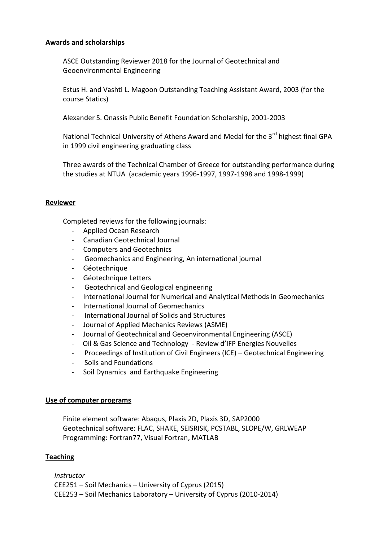## **Awards and scholarships**

ASCE Outstanding Reviewer 2018 for the Journal of Geotechnical and Geoenvironmental Engineering

Estus H. and Vashti L. Magoon Outstanding Teaching Assistant Award, 2003 (for the course Statics)

Alexander S. Onassis Public Benefit Foundation Scholarship, 2001-2003

National Technical University of Athens Award and Medal for the 3<sup>rd</sup> highest final GPA in 1999 civil engineering graduating class

Three awards of the Technical Chamber of Greece for outstanding performance during the studies at NTUA (academic years 1996-1997, 1997-1998 and 1998-1999)

# **Reviewer**

Completed reviews for the following journals:

- Applied Ocean Research
- Canadian Geotechnical Journal
- Computers and Geotechnics
- Geomechanics and Engineering, An international journal
- Géotechnique
- Géotechnique Letters
- Geotechnical and Geological engineering
- International Journal for Numerical and Analytical Methods in Geomechanics
- International Journal of Geomechanics
- International Journal of Solids and Structures
- Journal of Applied Mechanics Reviews (ASME)
- Journal of Geotechnical and Geoenvironmental Engineering (ASCE)
- Oil & Gas Science and Technology Review d'IFP Energies Nouvelles
- Proceedings of Institution of Civil Engineers (ICE) Geotechnical Engineering
- Soils and Foundations
- Soil Dynamics and Earthquake Engineering

## **Use of computer programs**

Finite element software: Abaqus, Plaxis 2D, Plaxis 3D, SAP2000 Geotechnical software: FLAC, SHAKE, SEISRISK, PCSTABL, SLOPE/W, GRLWEAP Programming: Fortran77, Visual Fortran, MATLAB

## **Teaching**

*Instructor* CEE251 – Soil Mechanics – University of Cyprus (2015) CEE253 – Soil Mechanics Laboratory – University of Cyprus (2010-2014)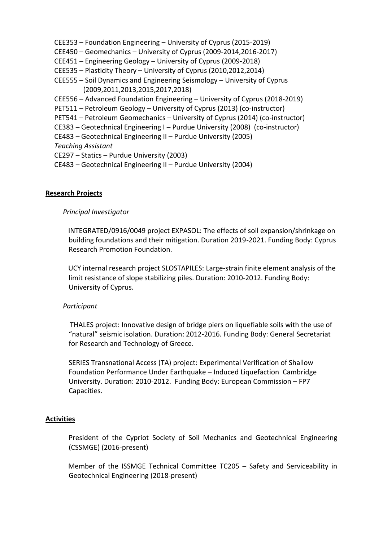- CEE353 Foundation Engineering University of Cyprus (2015-2019)
- CEE450 Geomechanics University of Cyprus (2009-2014,2016-2017)
- CEE451 Engineering Geology University of Cyprus (2009-2018)
- CEE535 Plasticity Theory University of Cyprus (2010,2012,2014)
- CEE555 Soil Dynamics and Engineering Seismology University of Cyprus (2009,2011,2013,2015,2017,2018)
- CEE556 Advanced Foundation Engineering University of Cyprus (2018-2019)
- PET511 Petroleum Geology University of Cyprus (2013) (co-instructor)
- PET541 Petroleum Geomechanics University of Cyprus (2014) (co-instructor)
- CE383 Geotechnical Engineering I Purdue University (2008) (co-instructor)
- CE483 Geotechnical Engineering II Purdue University (2005)
- *Teaching Assistant*
- CE297 Statics Purdue University (2003)
- CE483 Geotechnical Engineering II Purdue University (2004)

## **Research Projects**

# *Principal Investigator*

INTEGRATED/0916/0049 project EXPASOL: The effects of soil expansion/shrinkage on building foundations and their mitigation. Duration 2019-2021. Funding Body: Cyprus Research Promotion Foundation.

UCY internal research project SLOSTAPILES: Large-strain finite element analysis of the limit resistance of slope stabilizing piles. Duration: 2010-2012. Funding Body: University of Cyprus.

## *Participant*

THALES project: Innovative design of bridge piers on liquefiable soils with the use of "natural" seismic isolation. Duration: 2012-2016. Funding Body: General Secretariat for Research and Technology of Greece.

SERIES Transnational Access (TA) project: Experimental Verification of Shallow Foundation Performance Under Earthquake – Induced Liquefaction Cambridge University. Duration: 2010-2012. Funding Body: European Commission – FP7 Capacities.

## **Activities**

President of the Cypriot Society of Soil Mechanics and Geotechnical Engineering (CSSMGE) (2016-present)

 Member of the ISSMGE Technical Committee TC205 – Safety and Serviceability in Geotechnical Engineering (2018-present)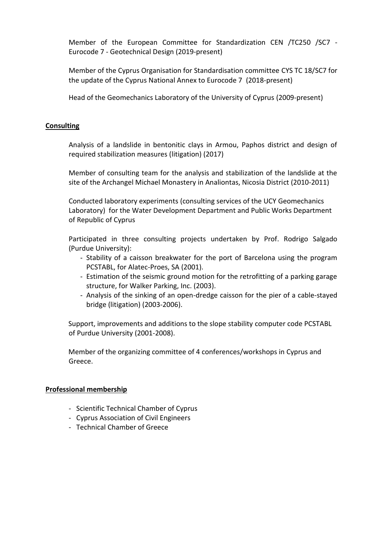Member of the European Committee for Standardization CEN /TC250 /SC7 - Eurocode 7 - Geotechnical Design (2019-present)

Member of the Cyprus Organisation for Standardisation committee CYS TC 18/SC7 for the update of the Cyprus National Annex to Eurocode 7 (2018-present)

Head of the Geomechanics Laboratory of the University of Cyprus (2009-present)

## **Consulting**

Analysis of a landslide in bentonitic clays in Armou, Paphos district and design of required stabilization measures (litigation) (2017)

Member of consulting team for the analysis and stabilization of the landslide at the site of the Archangel Michael Monastery in Analiontas, Nicosia District (2010-2011)

Conducted laboratory experiments (consulting services of the UCY Geomechanics Laboratory) for the Water Development Department and Public Works Department of Republic of Cyprus

Participated in three consulting projects undertaken by Prof. Rodrigo Salgado (Purdue University):

- Stability of a caisson breakwater for the port of Barcelona using the program PCSTABL, for Alatec-Proes, SA (2001).
- Estimation of the seismic ground motion for the retrofitting of a parking garage structure, for Walker Parking, Inc. (2003).
- Analysis of the sinking of an open-dredge caisson for the pier of a cable-stayed bridge (litigation) (2003-2006).

Support, improvements and additions to the slope stability computer code PCSTABL of Purdue University (2001-2008).

Member of the organizing committee of 4 conferences/workshops in Cyprus and Greece.

## **Professional membership**

- Scientific Technical Chamber of Cyprus
- Cyprus Association of Civil Engineers
- Technical Chamber of Greece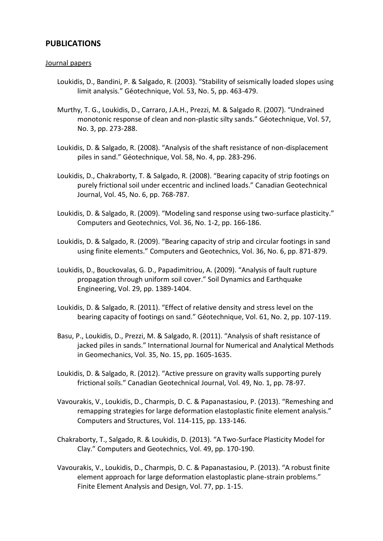# **PUBLICATIONS**

#### Journal papers

- Loukidis, D., Bandini, P. & Salgado, R. (2003). "Stability of seismically loaded slopes using limit analysis." Géotechnique, Vol. 53, No. 5, pp. 463-479.
- Murthy, T. G., Loukidis, D., Carraro, J.A.H., Prezzi, M. & Salgado R. (2007). "Undrained monotonic response of clean and non-plastic silty sands." Géotechnique, Vol. 57, No. 3, pp. 273-288.
- Loukidis, D. & Salgado, R. (2008). "Analysis of the shaft resistance of non-displacement piles in sand." Géotechnique, Vol. 58, No. 4, pp. 283-296.
- Loukidis, D., Chakraborty, T. & Salgado, R. (2008). "Bearing capacity of strip footings on purely frictional soil under eccentric and inclined loads." Canadian Geotechnical Journal, Vol. 45, No. 6, pp. 768-787.
- Loukidis, D. & Salgado, R. (2009). "Modeling sand response using two-surface plasticity." Computers and Geotechnics, Vol. 36, No. 1-2, pp. 166-186.
- Loukidis, D. & Salgado, R. (2009). "Bearing capacity of strip and circular footings in sand using finite elements." Computers and Geotechnics, Vol. 36, No. 6, pp. 871-879.
- Loukidis, D., Bouckovalas, G. D., Papadimitriou, A. (2009). "Analysis of fault rupture propagation through uniform soil cover." Soil Dynamics and Earthquake Engineering, Vol. 29, pp. 1389-1404.
- Loukidis, D. & Salgado, R. (2011). "Effect of relative density and stress level on the bearing capacity of footings on sand." Géotechnique, Vol. 61, No. 2, pp. 107-119.
- Basu, P., Loukidis, D., Prezzi, M. & Salgado, R. (2011). "Analysis of shaft resistance of jacked piles in sands." International Journal for Numerical and Analytical Methods in Geomechanics, Vol. 35, No. 15, pp. 1605-1635.
- Loukidis, D. & Salgado, R. (2012). "Active pressure on gravity walls supporting purely frictional soils." Canadian Geotechnical Journal, Vol. 49, No. 1, pp. 78-97.
- Vavourakis, V., Loukidis, D., Charmpis, D. C. & Papanastasiou, P. (2013). "Remeshing and remapping strategies for large deformation elastoplastic finite element analysis." Computers and Structures, Vol. 114-115, pp. 133-146.
- Chakraborty, T., Salgado, R. & Loukidis, D. (2013). "A Two-Surface Plasticity Model for Clay." Computers and Geotechnics, Vol. 49, pp. 170-190.
- Vavourakis, V., Loukidis, D., Charmpis, D. C. & Papanastasiou, P. (2013). "A robust finite element approach for large deformation elastoplastic plane-strain problems." Finite Element Analysis and Design, Vol. 77, pp. 1-15.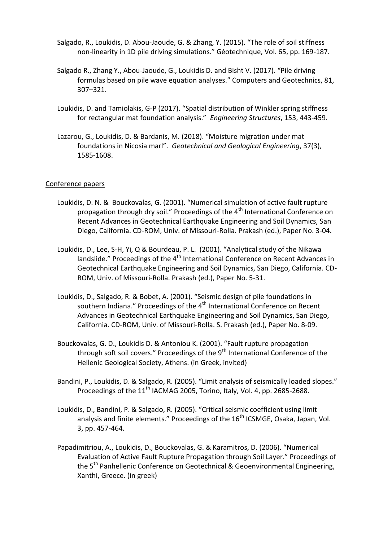- Salgado, R., Loukidis, D. Abou-Jaoude, G. & Zhang, Y. (2015). "The role of soil stiffness non-linearity in 1D pile driving simulations." Géotechnique, Vol. 65, pp. 169-187.
- Salgado R., Zhang Y., Abou-Jaoude, G., Loukidis D. and Bisht V. (2017). "Pile driving formulas based on pile wave equation analyses." Computers and Geotechnics, 81, 307–321.
- Loukidis, D. and Tamiolakis, G-P (2017). "Spatial distribution of Winkler spring stiffness for rectangular mat foundation analysis." *Engineering Structures*, 153, 443-459.
- Lazarou, G., Loukidis, D. & Bardanis, M. (2018). "Moisture migration under mat foundations in Nicosia marl". *Geotechnical and Geological Engineering*, 37(3), 1585-1608.

## Conference papers

- Loukidis, D. N. & Bouckovalas, G. (2001). "Numerical simulation of active fault rupture propagation through dry soil." Proceedings of the  $4<sup>th</sup>$  International Conference on Recent Advances in Geotechnical Earthquake Engineering and Soil Dynamics, San Diego, California. CD-ROM, Univ. of Missouri-Rolla. Prakash (ed.), Paper No. 3-04.
- Loukidis, D., Lee, S-H, Yi, Q & Bourdeau, P. L. (2001). "Analytical study of the Nikawa landslide." Proceedings of the 4<sup>th</sup> International Conference on Recent Advances in Geotechnical Earthquake Engineering and Soil Dynamics, San Diego, California. CD-ROM, Univ. of Missouri-Rolla. Prakash (ed.), Paper No. 5-31.
- Loukidis, D., Salgado, R. & Bobet, A. (2001). "Seismic design of pile foundations in southern Indiana." Proceedings of the 4<sup>th</sup> International Conference on Recent Advances in Geotechnical Earthquake Engineering and Soil Dynamics, San Diego, California. CD-ROM, Univ. of Missouri-Rolla. S. Prakash (ed.), Paper No. 8-09.
- Bouckovalas, G. D., Loukidis D. & Antoniou K. (2001). "Fault rupture propagation through soft soil covers." Proceedings of the  $9<sup>th</sup>$  International Conference of the Hellenic Geological Society, Athens. (in Greek, invited)
- Bandini, P., Loukidis, D. & Salgado, R. (2005). "Limit analysis of seismically loaded slopes." Proceedings of the 11<sup>th</sup> IACMAG 2005, Torino, Italy, Vol. 4, pp. 2685-2688.
- Loukidis, D., Bandini, P. & Salgado, R. (2005). "Critical seismic coefficient using limit analysis and finite elements." Proceedings of the 16<sup>th</sup> ICSMGE, Osaka, Japan, Vol. 3, pp. 457-464.
- Papadimitriou, A., Loukidis, D., Bouckovalas, G. & Karamitros, D. (2006). "Numerical Evaluation of Active Fault Rupture Propagation through Soil Layer." Proceedings of the 5<sup>th</sup> Panhellenic Conference on Geotechnical & Geoenvironmental Engineering, Xanthi, Greece. (in greek)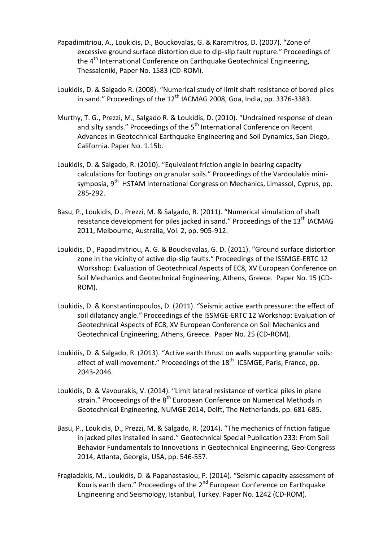- Papadimitriou, A., Loukidis, D., Bouckovalas, G. & Karamitros, D. (2007). "Zone of excessive ground surface distortion due to dip-slip fault rupture." Proceedings of the 4<sup>th</sup> International Conference on Earthquake Geotechnical Engineering, Thessaloniki, Paper No. 1583 (CD-ROM).
- Loukidis, D. & Salgado R. (2008). "Numerical study of limit shaft resistance of bored piles in sand." Proceedings of the  $12<sup>th</sup>$  IACMAG 2008, Goa, India, pp. 3376-3383.
- Murthy, T. G., Prezzi, M., Salgado R. & Loukidis, D. (2010). "Undrained response of clean and silty sands." Proceedings of the  $5<sup>th</sup>$  International Conference on Recent Advances in Geotechnical Earthquake Engineering and Soil Dynamics, San Diego, California. Paper No. 1.15b.
- Loukidis, D. & Salgado, R. (2010). "Equivalent friction angle in bearing capacity calculations for footings on granular soils." Proceedings of the Vardoulakis minisymposia, 9<sup>th</sup> HSTAM International Congress on Mechanics, Limassol, Cyprus, pp. 285-292.
- Basu, P., Loukidis, D., Prezzi, M. & Salgado, R. (2011). "Numerical simulation of shaft resistance development for piles jacked in sand." Proceedings of the  $13<sup>th</sup>$  IACMAG 2011, Melbourne, Australia, Vol. 2, pp. 905-912.
- Loukidis, D., Papadimitriou, A. G. & Bouckovalas, G. D. (2011). "Ground surface distortion zone in the vicinity of active dip-slip faults." Proceedings of the ISSMGE-ERTC 12 Workshop: Evaluation of Geotechnical Aspects of EC8, XV European Conference on Soil Mechanics and Geotechnical Engineering, Athens, Greece. Paper No. 15 (CD-ROM).
- Loukidis, D. & Konstantinopoulos, D. (2011). "Seismic active earth pressure: the effect of soil dilatancy angle." Proceedings of the ISSMGE-ERTC 12 Workshop: Evaluation of Geotechnical Aspects of EC8, XV European Conference on Soil Mechanics and Geotechnical Engineering, Athens, Greece. Paper No. 25 (CD-ROM).
- Loukidis, D. & Salgado, R. (2013). "Active earth thrust on walls supporting granular soils: effect of wall movement." Proceedings of the 18<sup>th</sup> ICSMGE, Paris, France, pp. 2043-2046.
- Loukidis, D. & Vavourakis, V. (2014). "Limit lateral resistance of vertical piles in plane strain." Proceedings of the  $8<sup>th</sup>$  European Conference on Numerical Methods in Geotechnical Engineering, NUMGE 2014, Delft, The Netherlands, pp. 681-685.
- Basu, P., Loukidis, D., Prezzi, M. & Salgado, R. (2014). "The mechanics of friction fatigue in jacked piles installed in sand." Geotechnical Special Publication 233: From Soil Behavior Fundamentals to Innovations in Geotechnical Engineering, Geo-Congress 2014, Atlanta, Georgia, USA, pp. 546-557.
- Fragiadakis, M., Loukidis, D. & Papanastasiou, P. (2014). "Seismic capacity assessment of Kouris earth dam." Proceedings of the  $2^{nd}$  European Conference on Earthquake Engineering and Seismology, Istanbul, Turkey. Paper No. 1242 (CD-ROM).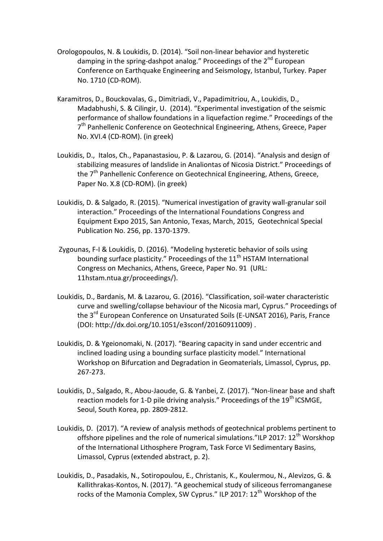- Orologopoulos, N. & Loukidis, D. (2014). "Soil non-linear behavior and hysteretic damping in the spring-dashpot analog." Proceedings of the 2<sup>nd</sup> European Conference on Earthquake Engineering and Seismology, Istanbul, Turkey. Paper No. 1710 (CD-ROM).
- Karamitros, D., Bouckovalas, G., Dimitriadi, V., Papadimitriou, A., Loukidis, D., Madabhushi, S. & Cilingir, U. (2014). "Experimental investigation of the seismic performance of shallow foundations in a liquefaction regime." Proceedings of the 7<sup>th</sup> Panhellenic Conference on Geotechnical Engineering, Athens, Greece, Paper No. XVI.4 (CD-ROM). (in greek)
- Loukidis, D., Italos, Ch., Papanastasiou, P. & Lazarou, G. (2014). "Analysis and design of stabilizing measures of landslide in Analiontas of Nicosia District." Proceedings of the 7<sup>th</sup> Panhellenic Conference on Geotechnical Engineering, Athens, Greece, Paper No. X.8 (CD-ROM). (in greek)
- Loukidis, D. & Salgado, R. (2015). "Numerical investigation of gravity wall-granular soil interaction." Proceedings of the International Foundations Congress and Equipment Expo 2015, San Antonio, Texas, March, 2015, Geotechnical Special Publication No. 256, pp. 1370-1379.
- Zygounas, F-I & Loukidis, D. (2016). "Modeling hysteretic behavior of soils using bounding surface plasticity." Proceedings of the  $11<sup>th</sup>$  HSTAM International Congress on Mechanics, Athens, Greece, Paper No. 91 (URL: 11hstam.ntua.gr/proceedings/).
- Loukidis, D., Bardanis, M. & Lazarou, G. (2016). "Classification, soil-water characteristic curve and swelling/collapse behaviour of the Nicosia marl, Cyprus." Proceedings of the 3<sup>rd</sup> European Conference on Unsaturated Soils (E-UNSAT 2016), Paris, France (DOI: http://dx.doi.org/10.1051/e3sconf/20160911009) .
- Loukidis, D. & Ygeionomaki, N. (2017). "Bearing capacity in sand under eccentric and inclined loading using a bounding surface plasticity model." International Workshop on Bifurcation and Degradation in Geomaterials, Limassol, Cyprus, pp. 267-273.
- Loukidis, D., Salgado, R., Abou-Jaoude, G. & Yanbei, Z. (2017). "Non-linear base and shaft reaction models for 1-D pile driving analysis." Proceedings of the  $19<sup>th</sup>$  ICSMGE, Seoul, South Korea, pp. 2809-2812.
- Loukidis, D. (2017). "A review of analysis methods of geotechnical problems pertinent to offshore pipelines and the role of numerical simulations."ILP 2017:  $12<sup>th</sup>$  Worskhop of the International Lithosphere Program, Task Force VI Sedimentary Basins, Limassol, Cyprus (extended abstract, p. 2).
- Loukidis, D., Pasadakis, N., Sotiropoulou, E., Christanis, K., Koulermou, N., Alevizos, G. & Kallithrakas-Kontos, N. (2017). "A geochemical study of siliceous ferromanganese rocks of the Mamonia Complex, SW Cyprus." ILP 2017: 12<sup>th</sup> Worskhop of the